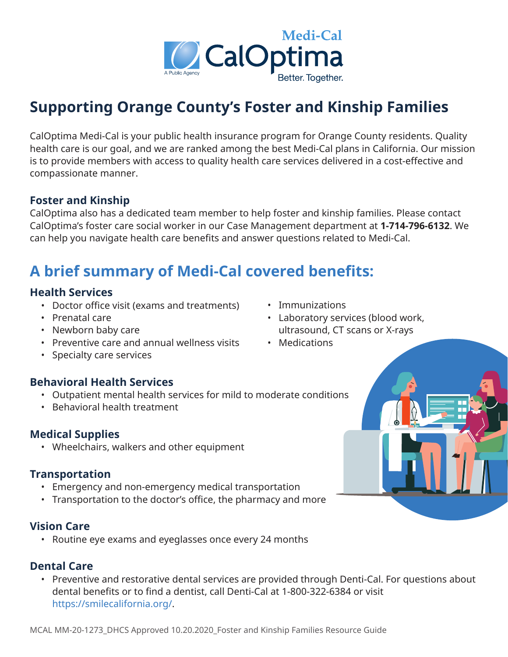

# **Supporting Orange County's Foster and Kinship Families**

CalOptima Medi-Cal is your public health insurance program for Orange County residents. Quality health care is our goal, and we are ranked among the best Medi-Cal plans in California. Our mission is to provide members with access to quality health care services delivered in a cost-effective and compassionate manner.

#### **Foster and Kinship**

CalOptima also has a dedicated team member to help foster and kinship families. Please contact CalOptima's foster care social worker in our Case Management department at **1-714-796-6132**. We can help you navigate health care benefits and answer questions related to Medi-Cal.

# **A brief summary of Medi-Cal covered benefits:**

#### **Health Services**

- Doctor office visit (exams and treatments) Immunizations
- 
- 
- Preventive care and annual wellness visits Medications
- Specialty care services

### **Behavioral Health Services**

- Outpatient mental health services for mild to moderate conditions
- Behavioral health treatment

## **Medical Supplies**

• Wheelchairs, walkers and other equipment

### **Transportation**

- Emergency and non-emergency medical transportation
- Transportation to the doctor's office, the pharmacy and more

### **Vision Care**

• Routine eye exams and eyeglasses once every 24 months

### **Dental Care**

• Preventive and restorative dental services are provided through Denti-Cal. For questions about dental benefits or to find a dentist, call Denti-Cal at 1-800-322-6384 or visit https://smilecalifornia.org/.

- 
- Prenatal care  **Laboratory services (blood work,** • Newborn baby care under the ultrasound, CT scans or X-rays
	-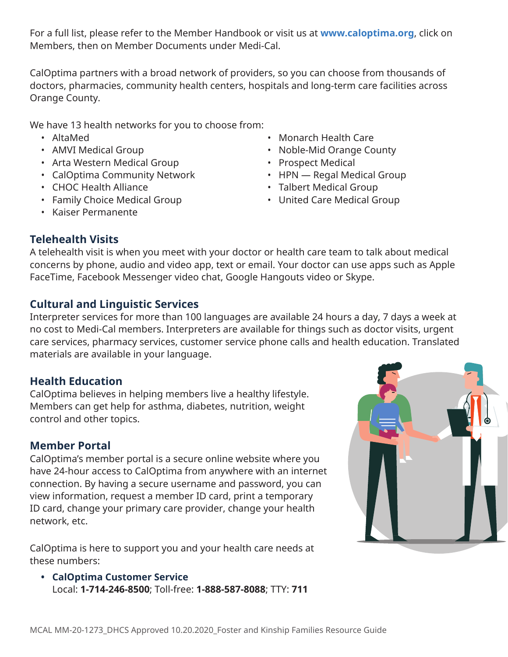For a full list, please refer to the Member Handbook or visit us at **www.caloptima.org**, click on Members, then on Member Documents under Medi-Cal.

CalOptima partners with a broad network of providers, so you can choose from thousands of doctors, pharmacies, community health centers, hospitals and long-term care facilities across Orange County.

We have 13 health networks for you to choose from:

- 
- 
- Arta Western Medical Group Prospect Medical
- CalOptima Community Network HPN Regal Medical Group
- 
- Family Choice Medical Group United Care Medical Group
- Kaiser Permanente
- AltaMed Monarch Health Care
- AMVI Medical Group  **Noble-Mid Orange County** 
	-
	-
- CHOC Health Alliance Talbert Medical Group
	-

## **Telehealth Visits**

A telehealth visit is when you meet with your doctor or health care team to talk about medical concerns by phone, audio and video app, text or email. Your doctor can use apps such as Apple FaceTime, Facebook Messenger video chat, Google Hangouts video or Skype.

## **Cultural and Linguistic Services**

Interpreter services for more than 100 languages are available 24 hours a day, 7 days a week at no cost to Medi-Cal members. Interpreters are available for things such as doctor visits, urgent care services, pharmacy services, customer service phone calls and health education. Translated materials are available in your language.

### **Health Education**

CalOptima believes in helping members live a healthy lifestyle. Members can get help for asthma, diabetes, nutrition, weight control and other topics.

### **Member Portal**

CalOptima's member portal is a secure online website where you have 24-hour access to CalOptima from anywhere with an internet connection. By having a secure username and password, you can view information, request a member ID card, print a temporary ID card, change your primary care provider, change your health network, etc.

CalOptima is here to support you and your health care needs at these numbers:

**• CalOptima Customer Service** Local: **1-714-246-8500**; Toll-free: **1-888-587-8088**; TTY: **711**